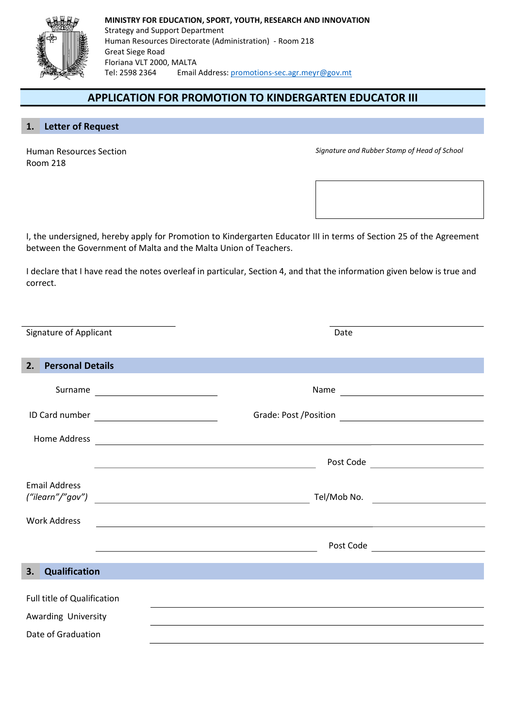

## APPLICATION FOR PROMOTION TO KINDERGARTEN EDUCATOR III

## 1. Letter of Request

Human Resources Section Room 218

Signature and Rubber Stamp of Head of School

I, the undersigned, hereby apply for Promotion to Kindergarten Educator III in terms of Section 25 of the Agreement between the Government of Malta and the Malta Union of Teachers.

I declare that I have read the notes overleaf in particular, Section 4, and that the information given below is true and correct.

| Signature of Applicant        |         | Date                                                                                                                 |                                     |
|-------------------------------|---------|----------------------------------------------------------------------------------------------------------------------|-------------------------------------|
| <b>Personal Details</b><br>2. |         |                                                                                                                      |                                     |
|                               | Surname |                                                                                                                      |                                     |
|                               |         |                                                                                                                      |                                     |
| Home Address                  |         | <u> 1989 - Johann Barnett, fransk politiker (d. 1989)</u>                                                            |                                     |
|                               |         | <u> 1989 - Johann Barn, fransk politik (d. 1989)</u>                                                                 | Post Code _________________________ |
| <b>Email Address</b>          |         |                                                                                                                      |                                     |
| <b>Work Address</b>           |         |                                                                                                                      |                                     |
|                               |         | <u> Alexandria de la contrada de la contrada de la contrada de la contrada de la contrada de la contrada de la c</u> |                                     |
| Qualification<br>3.           |         |                                                                                                                      |                                     |
| Full title of Qualification   |         |                                                                                                                      |                                     |
| Awarding University           |         |                                                                                                                      |                                     |
| Date of Graduation            |         |                                                                                                                      |                                     |